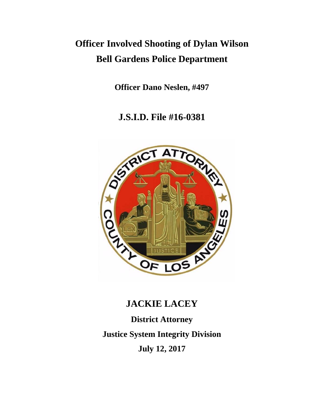# **Officer Involved Shooting of Dylan Wilson Bell Gardens Police Department**

**Officer Dano Neslen, #497**

**J.S.I.D. File #16-0381**



# **JACKIE LACEY**

**District Attorney Justice System Integrity Division July 12, 2017**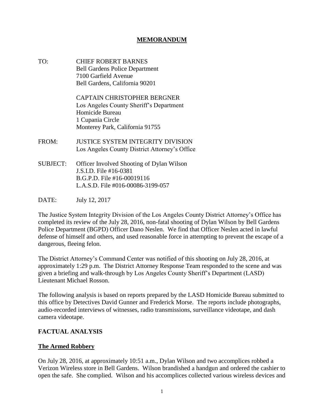#### **MEMORANDUM**

TO: CHIEF ROBERT BARNES Bell Gardens Police Department 7100 Garfield Avenue Bell Gardens, California 90201

> CAPTAIN CHRISTOPHER BERGNER Los Angeles County Sheriff's Department Homicide Bureau 1 Cupania Circle Monterey Park, California 91755

- FROM: JUSTICE SYSTEM INTEGRITY DIVISION Los Angeles County District Attorney's Office
- SUBJECT: Officer Involved Shooting of Dylan Wilson J.S.I.D. File #16-0381 B.G.P.D. File #16-00019116 L.A.S.D. File #016-00086-3199-057
- DATE: July 12, 2017

The Justice System Integrity Division of the Los Angeles County District Attorney's Office has completed its review of the July 28, 2016, non-fatal shooting of Dylan Wilson by Bell Gardens Police Department (BGPD) Officer Dano Neslen. We find that Officer Neslen acted in lawful defense of himself and others, and used reasonable force in attempting to prevent the escape of a dangerous, fleeing felon.

The District Attorney's Command Center was notified of this shooting on July 28, 2016, at approximately 1:29 p.m. The District Attorney Response Team responded to the scene and was given a briefing and walk-through by Los Angeles County Sheriff's Department (LASD) Lieutenant Michael Rosson.

The following analysis is based on reports prepared by the LASD Homicide Bureau submitted to this office by Detectives David Gunner and Frederick Morse. The reports include photographs, audio-recorded interviews of witnesses, radio transmissions, surveillance videotape, and dash camera videotape.

#### **FACTUAL ANALYSIS**

#### **The Armed Robbery**

On July 28, 2016, at approximately 10:51 a.m., Dylan Wilson and two accomplices robbed a Verizon Wireless store in Bell Gardens. Wilson brandished a handgun and ordered the cashier to open the safe. She complied. Wilson and his accomplices collected various wireless devices and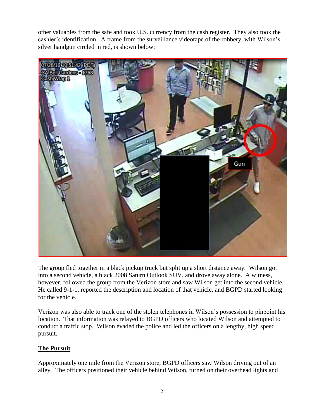other valuables from the safe and took U.S. currency from the cash register. They also took the cashier's identification. A frame from the surveillance videotape of the robbery, with Wilson's silver handgun circled in red, is shown below:



The group fled together in a black pickup truck but split up a short distance away. Wilson got into a second vehicle, a black 2008 Saturn Outlook SUV, and drove away alone. A witness, however, followed the group from the Verizon store and saw Wilson get into the second vehicle. He called 9-1-1, reported the description and location of that vehicle, and BGPD started looking for the vehicle.

Verizon was also able to track one of the stolen telephones in Wilson's possession to pinpoint his location. That information was relayed to BGPD officers who located Wilson and attempted to conduct a traffic stop. Wilson evaded the police and led the officers on a lengthy, high speed pursuit.

## **The Pursuit**

Approximately one mile from the Verizon store, BGPD officers saw Wilson driving out of an alley. The officers positioned their vehicle behind Wilson, turned on their overhead lights and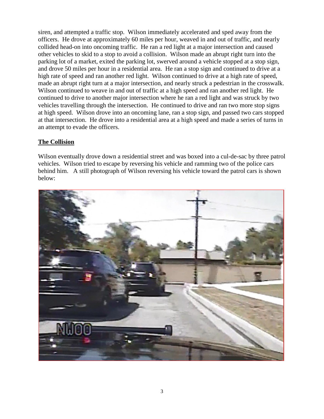siren, and attempted a traffic stop. Wilson immediately accelerated and sped away from the officers. He drove at approximately 60 miles per hour, weaved in and out of traffic, and nearly collided head-on into oncoming traffic. He ran a red light at a major intersection and caused other vehicles to skid to a stop to avoid a collision. Wilson made an abrupt right turn into the parking lot of a market, exited the parking lot, swerved around a vehicle stopped at a stop sign, and drove 50 miles per hour in a residential area. He ran a stop sign and continued to drive at a high rate of speed and ran another red light. Wilson continued to drive at a high rate of speed, made an abrupt right turn at a major intersection, and nearly struck a pedestrian in the crosswalk. Wilson continued to weave in and out of traffic at a high speed and ran another red light. He continued to drive to another major intersection where he ran a red light and was struck by two vehicles travelling through the intersection. He continued to drive and ran two more stop signs at high speed. Wilson drove into an oncoming lane, ran a stop sign, and passed two cars stopped at that intersection. He drove into a residential area at a high speed and made a series of turns in an attempt to evade the officers.

## **The Collision**

Wilson eventually drove down a residential street and was boxed into a cul-de-sac by three patrol vehicles. Wilson tried to escape by reversing his vehicle and ramming two of the police cars behind him. A still photograph of Wilson reversing his vehicle toward the patrol cars is shown below:

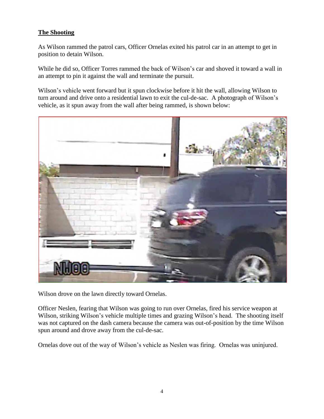# **The Shooting**

As Wilson rammed the patrol cars, Officer Ornelas exited his patrol car in an attempt to get in position to detain Wilson.

While he did so, Officer Torres rammed the back of Wilson's car and shoved it toward a wall in an attempt to pin it against the wall and terminate the pursuit.

Wilson's vehicle went forward but it spun clockwise before it hit the wall, allowing Wilson to turn around and drive onto a residential lawn to exit the cul-de-sac. A photograph of Wilson's vehicle, as it spun away from the wall after being rammed, is shown below:



Wilson drove on the lawn directly toward Ornelas.

Officer Neslen, fearing that Wilson was going to run over Ornelas, fired his service weapon at Wilson, striking Wilson's vehicle multiple times and grazing Wilson's head. The shooting itself was not captured on the dash camera because the camera was out-of-position by the time Wilson spun around and drove away from the cul-de-sac.

Ornelas dove out of the way of Wilson's vehicle as Neslen was firing. Ornelas was uninjured.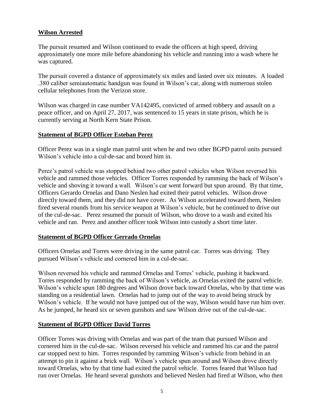#### **Wilson Arrested**

The pursuit resumed and Wilson continued to evade the officers at high speed, driving approximately one more mile before abandoning his vehicle and running into a wash where he was captured.

The pursuit covered a distance of approximately six miles and lasted over six minutes. A loaded .380 caliber semiautomatic handgun was found in Wilson's car, along with numerous stolen cellular telephones from the Verizon store.

Wilson was charged in case number VA142495, convicted of armed robbery and assault on a peace officer, and on April 27, 2017, was sentenced to 15 years in state prison, which he is currently serving at North Kern State Prison.

#### **Statement of BGPD Officer Esteban Perez**

Officer Perez was in a single man patrol unit when he and two other BGPD patrol units pursued Wilson's vehicle into a cul-de-sac and boxed him in.

Perez's patrol vehicle was stopped behind two other patrol vehicles when Wilson reversed his vehicle and rammed those vehicles. Officer Torres responded by ramming the back of Wilson's vehicle and shoving it toward a wall. Wilson's car went forward but spun around. By that time, Officers Gerardo Ornelas and Dano Neslen had exited their patrol vehicles. Wilson drove directly toward them, and they did not have cover. As Wilson accelerated toward them, Neslen fired several rounds from his service weapon at Wilson's vehicle, but he continued to drive out of the cul-de-sac. Perez resumed the pursuit of Wilson, who drove to a wash and exited his vehicle and ran. Perez and another officer took Wilson into custody a short time later.

## **Statement of BGPD Officer Gerrado Ornelas**

Officers Ornelas and Torres were driving in the same patrol car. Torres was driving. They pursued Wilson's vehicle and cornered him in a cul-de-sac.

Wilson reversed his vehicle and rammed Ornelas and Torres' vehicle, pushing it backward. Torres responded by ramming the back of Wilson's vehicle, as Ornelas exited the patrol vehicle. Wilson's vehicle spun 180 degrees and Wilson drove back toward Ornelas, who by that time was standing on a residential lawn. Ornelas had to jump out of the way to avoid being struck by Wilson's vehicle. If he would not have jumped out of the way, Wilson would have run him over. As he jumped, he heard six or seven gunshots and saw Wilson drive out of the cul-de-sac.

## **Statement of BGPD Officer David Torres**

Officer Torres was driving with Ornelas and was part of the team that pursued Wilson and cornered him in the cul-de-sac. Wilson reversed his vehicle and rammed his car and the patrol car stopped next to him. Torres responded by ramming Wilson's vehicle from behind in an attempt to pin it against a brick wall. Wilson's vehicle spun around and Wilson drove directly toward Ornelas, who by that time had exited the patrol vehicle. Torres feared that Wilson had run over Ornelas. He heard several gunshots and believed Neslen had fired at Wilson, who then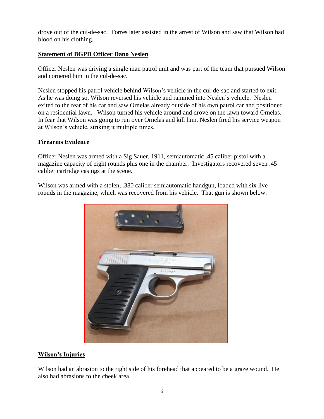drove out of the cul-de-sac. Torres later assisted in the arrest of Wilson and saw that Wilson had blood on his clothing.

# **Statement of BGPD Officer Dano Neslen**

Officer Neslen was driving a single man patrol unit and was part of the team that pursued Wilson and cornered him in the cul-de-sac.

Neslen stopped his patrol vehicle behind Wilson's vehicle in the cul-de-sac and started to exit. As he was doing so, Wilson reversed his vehicle and rammed into Neslen's vehicle. Neslen exited to the rear of his car and saw Ornelas already outside of his own patrol car and positioned on a residential lawn. Wilson turned his vehicle around and drove on the lawn toward Ornelas. In fear that Wilson was going to run over Ornelas and kill him, Neslen fired his service weapon at Wilson's vehicle, striking it multiple times.

# **Firearms Evidence**

Officer Neslen was armed with a Sig Sauer, 1911, semiautomatic .45 caliber pistol with a magazine capacity of eight rounds plus one in the chamber. Investigators recovered seven .45 caliber cartridge casings at the scene.

Wilson was armed with a stolen, .380 caliber semiautomatic handgun, loaded with six live rounds in the magazine, which was recovered from his vehicle. That gun is shown below:



## **Wilson's Injuries**

Wilson had an abrasion to the right side of his forehead that appeared to be a graze wound. He also had abrasions to the cheek area.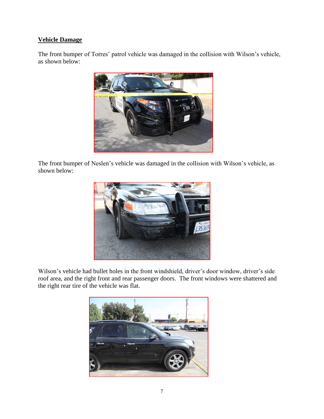# **Vehicle Damage**

The front bumper of Torres' patrol vehicle was damaged in the collision with Wilson's vehicle, as shown below:



The front bumper of Neslen's vehicle was damaged in the collision with Wilson's vehicle, as shown below:



Wilson's vehicle had bullet holes in the front windshield, driver's door window, driver's side roof area, and the right front and rear passenger doors. The front windows were shattered and the right rear tire of the vehicle was flat.

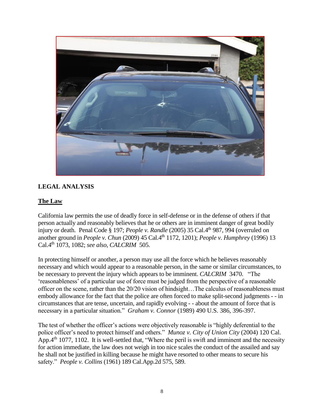

# **LEGAL ANALYSIS**

## **The Law**

California law permits the use of deadly force in self-defense or in the defense of others if that person actually and reasonably believes that he or others are in imminent danger of great bodily injury or death. Penal Code § 197; *People v. Randle* (2005) 35 Cal.4<sup>th</sup> 987, 994 (overruled on another ground in *People v. Chun* (2009) 45 Cal.4th 1172, 1201); *People v. Humphrey* (1996) 13 Cal.4th 1073, 1082; *see also, CALCRIM* 505.

In protecting himself or another, a person may use all the force which he believes reasonably necessary and which would appear to a reasonable person, in the same or similar circumstances, to be necessary to prevent the injury which appears to be imminent. *CALCRIM* 3470. "The 'reasonableness' of a particular use of force must be judged from the perspective of a reasonable officer on the scene, rather than the 20/20 vision of hindsight…The calculus of reasonableness must embody allowance for the fact that the police are often forced to make split-second judgments - - in circumstances that are tense, uncertain, and rapidly evolving - - about the amount of force that is necessary in a particular situation." *Graham v. Connor* (1989) 490 U.S. 386, 396-397.

The test of whether the officer's actions were objectively reasonable is "highly deferential to the police officer's need to protect himself and others." *Munoz v. City of Union City* (2004) 120 Cal. App. 4<sup>th</sup> 1077, 1102. It is well-settled that, "Where the peril is swift and imminent and the necessity for action immediate, the law does not weigh in too nice scales the conduct of the assailed and say he shall not be justified in killing because he might have resorted to other means to secure his safety." *People v. Collins* (1961) 189 Cal.App.2d 575, 589.